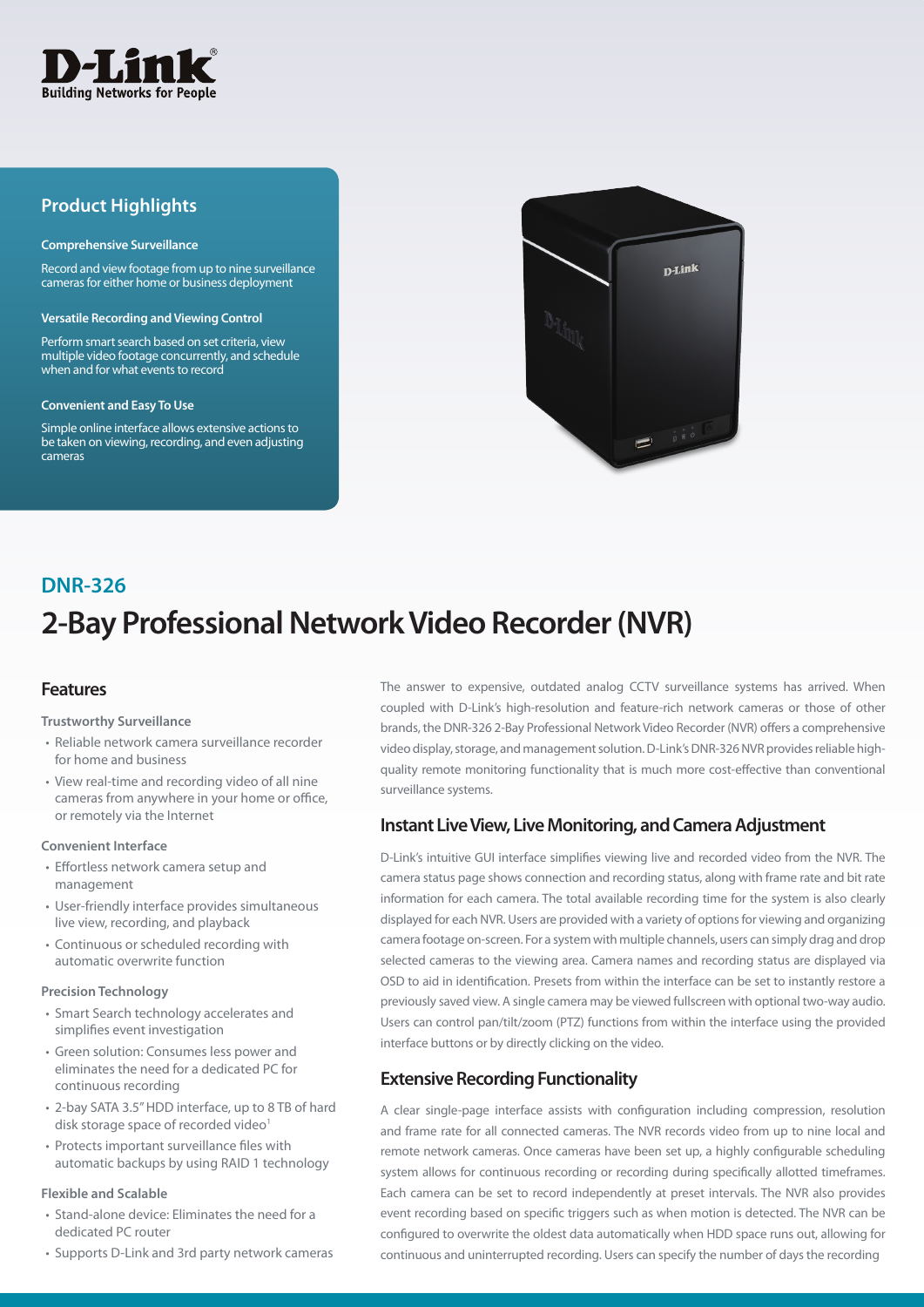

## **Product Highlights**

#### **Comprehensive Surveillance**

Record and view footage from up to nine surveillance cameras for either home or business deployment

#### **Versatile Recording and Viewing Control**

Perform smart search based on set criteria, view multiple video footage concurrently, and schedule when and for what events to record

#### **Convenient and Easy To Use**

Simple online interface allows extensive actions to be taken on viewing, recording, and even adjusting cameras



# **2-Bay Professional Network Video Recorder (NVR) DNR-326**

## **Features**

#### **Trustworthy Surveillance**

- Reliable network camera surveillance recorder for home and business
- View real-time and recording video of all nine cameras from anywhere in your home or office, or remotely via the Internet

#### **Convenient Interface**

- Effortless network camera setup and management
- User-friendly interface provides simultaneous live view, recording, and playback
- Continuous or scheduled recording with automatic overwrite function

#### **Precision Technology**

- Smart Search technology accelerates and simplifies event investigation
- Green solution: Consumes less power and eliminates the need for a dedicated PC for continuous recording
- 2-bay SATA 3.5" HDD interface, up to 8 TB of hard disk storage space of recorded video<sup>1</sup>
- Protects important surveillance files with automatic backups by using RAID 1 technology

#### **Flexible and Scalable**

- Stand-alone device: Eliminates the need for a dedicated PC router
- Supports D-Link and 3rd party network cameras

The answer to expensive, outdated analog CCTV surveillance systems has arrived. When coupled with D-Link's high-resolution and feature-rich network cameras or those of other brands, the DNR-326 2-Bay Professional Network Video Recorder (NVR) offers a comprehensive video display, storage, and management solution. D-Link's DNR-326 NVR provides reliable highquality remote monitoring functionality that is much more cost-effective than conventional surveillance systems.

## **Instant Live View, Live Monitoring, and Camera Adjustment**

D-Link's intuitive GUI interface simplifies viewing live and recorded video from the NVR. The camera status page shows connection and recording status, along with frame rate and bit rate information for each camera. The total available recording time for the system is also clearly displayed for each NVR. Users are provided with a variety of options for viewing and organizing camera footage on-screen. For a system with multiple channels, users can simply drag and drop selected cameras to the viewing area. Camera names and recording status are displayed via OSD to aid in identification. Presets from within the interface can be set to instantly restore a previously saved view. A single camera may be viewed fullscreen with optional two-way audio. Users can control pan/tilt/zoom (PTZ) functions from within the interface using the provided interface buttons or by directly clicking on the video.

## **Extensive Recording Functionality**

A clear single-page interface assists with configuration including compression, resolution and frame rate for all connected cameras. The NVR records video from up to nine local and remote network cameras. Once cameras have been set up, a highly configurable scheduling system allows for continuous recording or recording during specifically allotted timeframes. Each camera can be set to record independently at preset intervals. The NVR also provides event recording based on specific triggers such as when motion is detected. The NVR can be configured to overwrite the oldest data automatically when HDD space runs out, allowing for continuous and uninterrupted recording. Users can specify the number of days the recording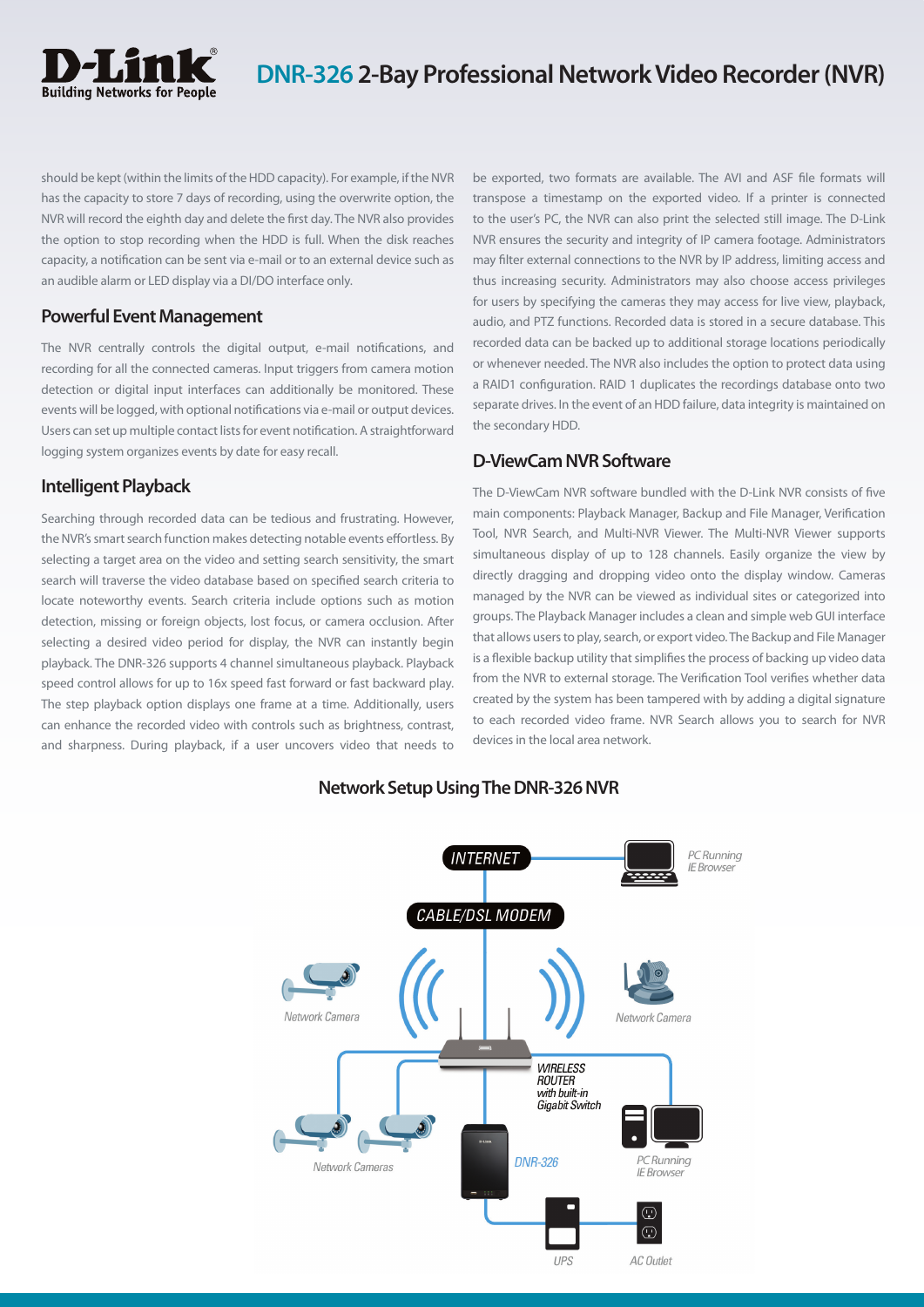

should be kept (within the limits of the HDD capacity). For example, if the NVR has the capacity to store 7 days of recording, using the overwrite option, the NVR will record the eighth day and delete the first day. The NVR also provides the option to stop recording when the HDD is full. When the disk reaches capacity, a notification can be sent via e-mail or to an external device such as an audible alarm or LED display via a DI/DO interface only.

## **Powerful Event Management**

The NVR centrally controls the digital output, e-mail notifications, and recording for all the connected cameras. Input triggers from camera motion detection or digital input interfaces can additionally be monitored. These events will be logged, with optional notifications via e-mail or output devices. Users can set up multiple contact lists for event notification. A straightforward logging system organizes events by date for easy recall.

## **Intelligent Playback**

Searching through recorded data can be tedious and frustrating. However, the NVR's smart search function makes detecting notable events effortless. By selecting a target area on the video and setting search sensitivity, the smart search will traverse the video database based on specified search criteria to locate noteworthy events. Search criteria include options such as motion detection, missing or foreign objects, lost focus, or camera occlusion. After selecting a desired video period for display, the NVR can instantly begin playback. The DNR-326 supports 4 channel simultaneous playback. Playback speed control allows for up to 16x speed fast forward or fast backward play. The step playback option displays one frame at a time. Additionally, users can enhance the recorded video with controls such as brightness, contrast, and sharpness. During playback, if a user uncovers video that needs to be exported, two formats are available. The AVI and ASF file formats will transpose a timestamp on the exported video. If a printer is connected to the user's PC, the NVR can also print the selected still image. The D-Link NVR ensures the security and integrity of IP camera footage. Administrators may filter external connections to the NVR by IP address, limiting access and thus increasing security. Administrators may also choose access privileges for users by specifying the cameras they may access for live view, playback, audio, and PTZ functions. Recorded data is stored in a secure database. This recorded data can be backed up to additional storage locations periodically or whenever needed. The NVR also includes the option to protect data using a RAID1 configuration. RAID 1 duplicates the recordings database onto two separate drives. In the event of an HDD failure, data integrity is maintained on the secondary HDD.

## **D-ViewCam NVR Software**

The D-ViewCam NVR software bundled with the D-Link NVR consists of five main components: Playback Manager, Backup and File Manager, Verification Tool, NVR Search, and Multi-NVR Viewer. The Multi-NVR Viewer supports simultaneous display of up to 128 channels. Easily organize the view by directly dragging and dropping video onto the display window. Cameras managed by the NVR can be viewed as individual sites or categorized into groups. The Playback Manager includes a clean and simple web GUI interface that allows users to play, search, or export video. The Backup and File Manager is a flexible backup utility that simplifies the process of backing up video data from the NVR to external storage. The Verification Tool verifies whether data created by the system has been tampered with by adding a digital signature to each recorded video frame. NVR Search allows you to search for NVR devices in the local area network.



## **Network Setup Using The DNR-326 NVR**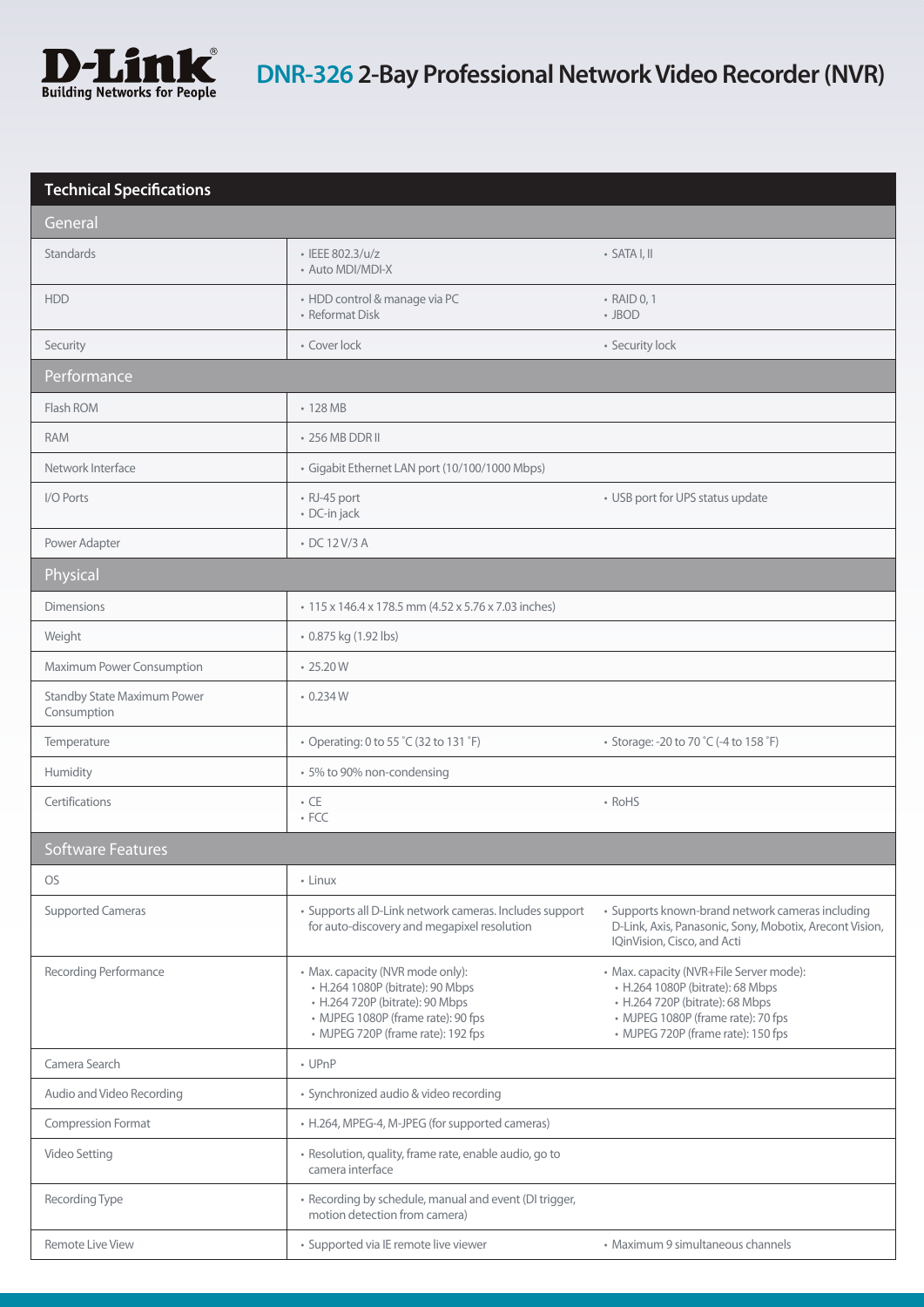

| <b>Technical Specifications</b>                   |                                                                                                                                                                                     |                                                                                                                                                                                            |  |
|---------------------------------------------------|-------------------------------------------------------------------------------------------------------------------------------------------------------------------------------------|--------------------------------------------------------------------------------------------------------------------------------------------------------------------------------------------|--|
| General                                           |                                                                                                                                                                                     |                                                                                                                                                                                            |  |
| <b>Standards</b>                                  | · IEEE 802.3/u/z<br>• Auto MDI/MDI-X                                                                                                                                                | $\cdot$ SATA I. II                                                                                                                                                                         |  |
| <b>HDD</b>                                        | · HDD control & manage via PC<br>• Reformat Disk                                                                                                                                    | • RAID 0, 1<br>$\cdot$ JBOD                                                                                                                                                                |  |
| Security                                          | • Cover lock                                                                                                                                                                        | • Security lock                                                                                                                                                                            |  |
| Performance                                       |                                                                                                                                                                                     |                                                                                                                                                                                            |  |
| Flash ROM                                         | $\cdot$ 128 MB                                                                                                                                                                      |                                                                                                                                                                                            |  |
| <b>RAM</b>                                        | • 256 MB DDR II                                                                                                                                                                     |                                                                                                                                                                                            |  |
| Network Interface                                 | · Gigabit Ethernet LAN port (10/100/1000 Mbps)                                                                                                                                      |                                                                                                                                                                                            |  |
| I/O Ports                                         | • RJ-45 port<br>· DC-in jack                                                                                                                                                        | • USB port for UPS status update                                                                                                                                                           |  |
| Power Adapter                                     | • DC 12 V/3 A                                                                                                                                                                       |                                                                                                                                                                                            |  |
| Physical                                          |                                                                                                                                                                                     |                                                                                                                                                                                            |  |
| <b>Dimensions</b>                                 | • 115 x 146.4 x 178.5 mm (4.52 x 5.76 x 7.03 inches)                                                                                                                                |                                                                                                                                                                                            |  |
| Weight                                            | • 0.875 kg (1.92 lbs)                                                                                                                                                               |                                                                                                                                                                                            |  |
| Maximum Power Consumption                         | $\cdot$ 25.20 W                                                                                                                                                                     |                                                                                                                                                                                            |  |
| <b>Standby State Maximum Power</b><br>Consumption | 0.234W                                                                                                                                                                              |                                                                                                                                                                                            |  |
| Temperature                                       | • Operating: 0 to 55 °C (32 to 131 °F)                                                                                                                                              | • Storage: -20 to 70 °C (-4 to 158 °F)                                                                                                                                                     |  |
| Humidity                                          | • 5% to 90% non-condensing                                                                                                                                                          |                                                                                                                                                                                            |  |
| Certifications                                    | $\cdot$ CE<br>$\cdot$ FCC                                                                                                                                                           | • RoHS                                                                                                                                                                                     |  |
| <b>Software Features</b>                          |                                                                                                                                                                                     |                                                                                                                                                                                            |  |
| <b>OS</b>                                         | • Linux                                                                                                                                                                             |                                                                                                                                                                                            |  |
| <b>Supported Cameras</b>                          | · Supports all D-Link network cameras. Includes support<br>for auto-discovery and megapixel resolution                                                                              | • Supports known-brand network cameras including<br>D-Link, Axis, Panasonic, Sony, Mobotix, Arecont Vision,<br>IQinVision, Cisco, and Acti                                                 |  |
| Recording Performance                             | • Max. capacity (NVR mode only):<br>• H.264 1080P (bitrate): 90 Mbps<br>• H.264 720P (bitrate): 90 Mbps<br>• MJPEG 1080P (frame rate): 90 fps<br>• MJPEG 720P (frame rate): 192 fps | • Max. capacity (NVR+File Server mode):<br>• H.264 1080P (bitrate): 68 Mbps<br>• H.264 720P (bitrate): 68 Mbps<br>• MJPEG 1080P (frame rate): 70 fps<br>• MJPEG 720P (frame rate): 150 fps |  |
| Camera Search                                     | $\cdot$ UPnP                                                                                                                                                                        |                                                                                                                                                                                            |  |
| Audio and Video Recording                         | · Synchronized audio & video recording                                                                                                                                              |                                                                                                                                                                                            |  |
| <b>Compression Format</b>                         | • H.264, MPEG-4, M-JPEG (for supported cameras)                                                                                                                                     |                                                                                                                                                                                            |  |
| Video Setting                                     | · Resolution, quality, frame rate, enable audio, go to<br>camera interface                                                                                                          |                                                                                                                                                                                            |  |
| Recording Type                                    | • Recording by schedule, manual and event (DI trigger,<br>motion detection from camera)                                                                                             |                                                                                                                                                                                            |  |
| <b>Remote Live View</b>                           | · Supported via IE remote live viewer                                                                                                                                               | • Maximum 9 simultaneous channels                                                                                                                                                          |  |